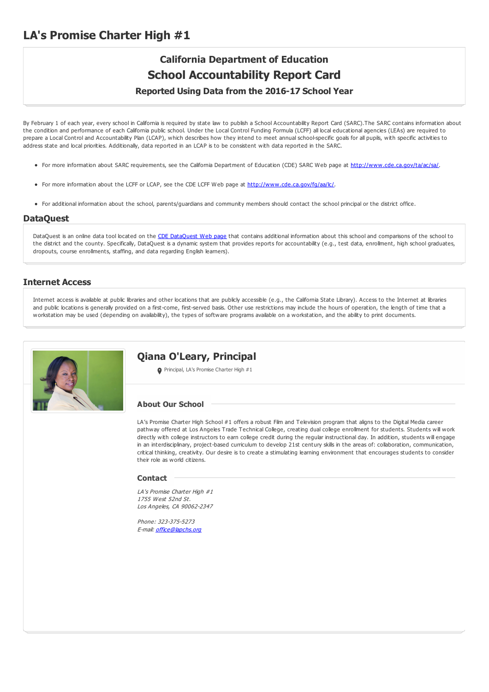## **LA's Promise Charter High #1**

# **California Department of Education School Accountability Report Card**

**Reported Using Data from the 2016-17 School Year**

By February 1 of each year, every school in California is required by state law to publish a School Accountability Report Card (SARC).The SARC contains information about the condition and performance of each California public school. Under the Local Control Funding Formula (LCFF) all local educational agencies (LEAs) are required to prepare a Local Control and Accountability Plan (LCAP), which describes how they intend to meet annual school-specific goals for all pupils, with specific activities to address state and local priorities. Additionally, data reported in an LCAP is to be consistent with data reported in the SARC.

- For more information about SARC requirements, see the California Department of Education (CDE) SARC Web page at <http://www.cde.ca.gov/ta/ac/sa/>.
- For more information about the LCFF or LCAP, see the CDE LCFF Web page at <http://www.cde.ca.gov/fg/aa/lc/>.
- For additional information about the school, parents/guardians and community members should contact the school principal or the district office.

#### **DataQuest**

[DataQuest](http://dq.cde.ca.gov/dataquest/) is an online data tool located on the CDE DataQuest Web page that contains additional information about this school and comparisons of the school to the district and the county. Specifically, DataQuest is a dynamic system that provides reports for accountability (e.g., test data, enrollment, high school graduates, dropouts, course enrollments, staffing, and data regarding English learners).

### **Internet Access**

Internet access is available at public libraries and other locations that are publicly accessible (e.g., the California State Library). Access to the Internet at libraries and public locations is generally provided on a first-come, first-served basis. Other use restrictions may include the hours of operation, the length of time that a workstation may be used (depending on availability), the types of software programs available on a workstation, and the ability to print documents.



### **Qiana O'Leary, Principal**

Principal, LA's Promise Charter High #1

#### **About Our School**

LA's Promise Charter High School #1 offers a robust Film and Television program that aligns to the Digital Media career pathway offered at Los Angeles Trade Technical College, creating dual college enrollment for students. Students will work directly with college instructors to earn college credit during the regular instructional day. In addition, students will engage in an interdisciplinary, project-based curriculum to develop 21st century skills in the areas of: collaboration, communication, critical thinking, creativity. Our desire is to create a stimulating learning environment that encourages students to consider their role as world citizens.

#### **Contact**

LA's Promise Charter High #1 1755 West 52nd St. Los Angeles, CA 90062-2347

Phone: 323-375-5273 E-mail: [office@lapchs.org](mailto:office@lapchs.org)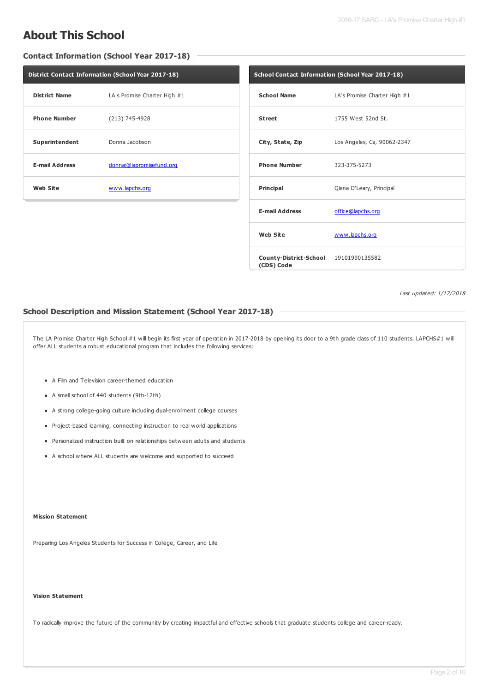## **About This School**

**Contact Information (School Year 2017-18)**

| <b>District Contact Information (School Year 2017-18)</b> |                              |  |
|-----------------------------------------------------------|------------------------------|--|
| <b>District Name</b>                                      | LA's Promise Charter High #1 |  |
| <b>Phone Number</b>                                       | (213) 745-4928               |  |
| Superintendent                                            | Donna Jacobson               |  |
| <b>E-mail Address</b>                                     | donnaj@lapromisefund.org     |  |
| <b>Web Site</b>                                           | www.lapchs.org               |  |

| School Contact Information (School Year 2017-18)    |                              |  |
|-----------------------------------------------------|------------------------------|--|
| <b>School Name</b>                                  | LA's Promise Charter High #1 |  |
| <b>Street</b>                                       | 1755 West 52nd St.           |  |
| City, State, Zip                                    | Los Angeles, Ca, 90062-2347  |  |
| <b>Phone Number</b>                                 | 323-375-5273                 |  |
| Principal                                           | Qiana O'Leary, Principal     |  |
| <b>E-mail Address</b>                               | office@lapchs.org            |  |
| <b>Web Site</b>                                     | www.lapchs.org               |  |
| County-District-School 19101990135582<br>(CDS) Code |                              |  |

Last updated: 1/17/2018

### **School Description and Mission Statement (School Year 2017-18)**

The LA Promise Charter High School #1 will begin its first year of operation in 2017-2018 by opening its door to a 9th grade class of 110 students. LAPCHS#1 will offer ALL students a robust educational program that includes the following services:

- A Film and Television career-themed education
- A small school of 440 students (9th-12th)
- A strong college-going culture including dual-enrollment college courses
- Project-based learning, connecting instruction to real world applications
- Personalized instruction built on relationships between adults and students
- A school where ALL students are welcome and supported to succeed

#### **Mission Statement**

Preparing Los Angeles Students for Success in College, Career, and Life

#### **Vision Statement**

To radically improve the future of the community by creating impactful and effective schools that graduate students college and career-ready.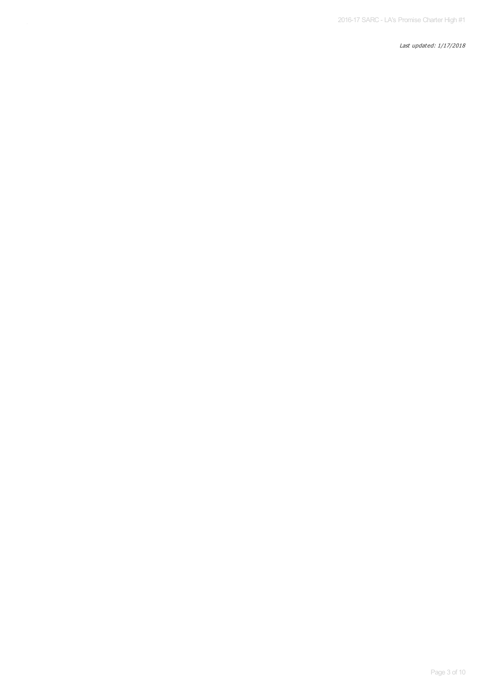Last updated: 1/17/2018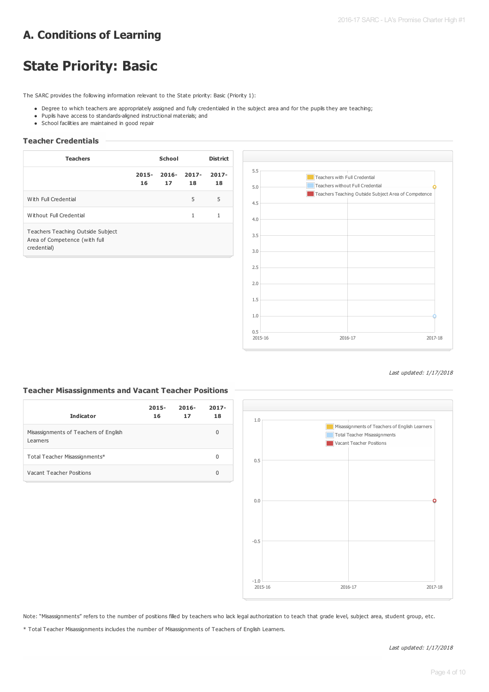## **A. Conditions of Learning**

# **State Priority: Basic**

The SARC provides the following information relevant to the State priority: Basic (Priority 1):

- . Degree to which teachers are appropriately assigned and fully credentialed in the subject area and for the pupils they are teaching;
- Pupils have access to standards-aligned instructional materials; and
- School facilities are maintained in good repair

### **Teacher Credentials**

| <b>Teachers</b>                                                                   | School         |                |                | <b>District</b> |
|-----------------------------------------------------------------------------------|----------------|----------------|----------------|-----------------|
|                                                                                   | $2015 -$<br>16 | $2016 -$<br>17 | $2017 -$<br>18 | $2017 -$<br>18  |
| With Full Credential                                                              |                |                | 5              | 5               |
| Without Full Credential                                                           |                |                | 1              | 1               |
| Teachers Teaching Outside Subject<br>Area of Competence (with full<br>credential) |                |                |                |                 |



#### Last updated: 1/17/2018

### **Teacher Misassignments and Vacant Teacher Positions**

| <b>Indicator</b>                                  | $2015 -$<br>16 | $2016 -$<br>17 | $2017 -$<br>18 |
|---------------------------------------------------|----------------|----------------|----------------|
| Misassignments of Teachers of English<br>Learners |                |                | 0              |
| Total Teacher Misassignments*                     |                |                | 0              |
| Vacant Teacher Positions                          |                |                | 0              |



Note: "Misassignments" refers to the number of positions filled by teachers who lack legal authorization to teach that grade level, subject area, student group, etc.

\* Total Teacher Misassignments includes the number of Misassignments of Teachers of English Learners.

Last updated: 1/17/2018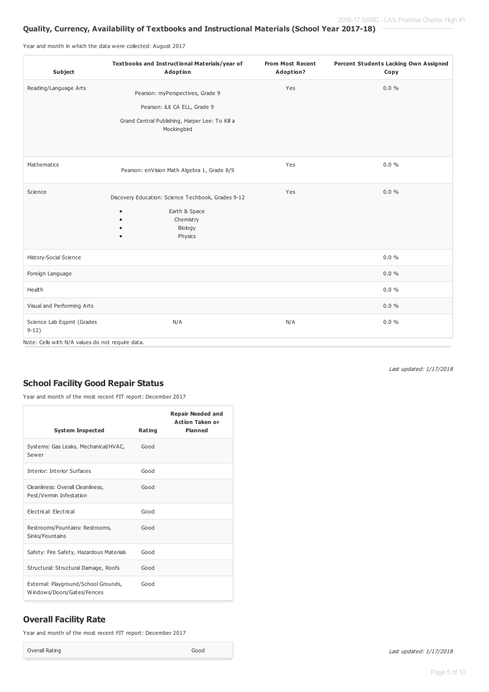### **Quality, Currency, Availability of Textbooks and Instructional Materials (School Year 2017-18)**

Year and month in which the data were collected: August 2017

| Subject                                          | Textbooks and Instructional Materials/year of<br>Adoption                                                                             | <b>From Most Recent</b><br>Adoption? | Percent Students Lacking Own Assigned<br>Copy |
|--------------------------------------------------|---------------------------------------------------------------------------------------------------------------------------------------|--------------------------------------|-----------------------------------------------|
| Reading/Language Arts                            | Pearson: myPerspectives, Grade 9<br>Pearson: iLit CA ELL, Grade 9<br>Grand Central Publishing, Harper Lee: To Kill a<br>Mockingbird   | Yes                                  | $0.0 \%$                                      |
| Mathematics                                      | Pearson: enVision Math Algebra 1, Grade 8/9                                                                                           | Yes                                  | $0.0 \%$                                      |
| Science                                          | Discovery Education: Science Techbook, Grades 9-12<br>Earth & Space<br>٠<br>Chemistry<br>$\bullet$<br>Biology<br>Physics<br>$\bullet$ | Yes                                  | $0.0 \%$                                      |
| History-Social Science                           |                                                                                                                                       |                                      | $0.0 \%$                                      |
| Foreign Language                                 |                                                                                                                                       |                                      | 0.0%                                          |
| Health                                           |                                                                                                                                       |                                      | $0.0 \%$                                      |
| Visual and Performing Arts                       |                                                                                                                                       |                                      | $0.0 \%$                                      |
| Science Lab Eqpmt (Grades<br>$9-12)$             | N/A                                                                                                                                   | N/A                                  | $0.0 \%$                                      |
| Note: Cells with N/A values do not require data. |                                                                                                                                       |                                      |                                               |

Last updated: 1/17/2018

## **School Facility Good Repair Status**

Year and month of the most recent FIT report: December 2017

|                                                                    |        | <b>Repair Needed and</b><br><b>Action Taken or</b><br><b>Planned</b> |
|--------------------------------------------------------------------|--------|----------------------------------------------------------------------|
| <b>System Inspected</b>                                            | Rating |                                                                      |
| Systems: Gas Leaks, Mechanical/HVAC,<br>Sewer                      | Good   |                                                                      |
| <b>Interior: Interior Surfaces</b>                                 | Good   |                                                                      |
| Cleanliness: Overall Cleanliness,<br>Pest/Vermin Infestation       | Good   |                                                                      |
| Electrical: Electrical                                             | Good   |                                                                      |
| Restrooms/Fountains: Restrooms,<br>Sinks/Fountains                 | Good   |                                                                      |
| Safety: Fire Safety, Hazardous Materials                           | Good   |                                                                      |
| Structural: Structural Damage, Roofs                               | Good   |                                                                      |
| External: Playground/School Grounds,<br>Windows/Doors/Gates/Fences | Good   |                                                                      |

## **Overall Facility Rate**

Year and month of the most recent FIT report: December 2017

Overall Rating Good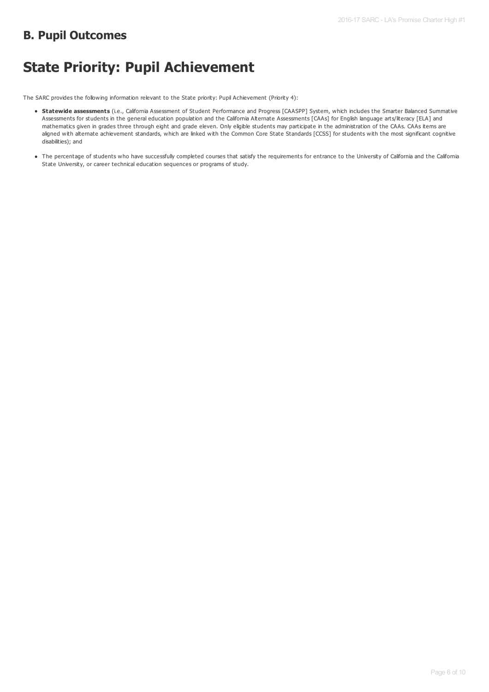## **B. Pupil Outcomes**

# **State Priority: Pupil Achievement**

The SARC provides the following information relevant to the State priority: Pupil Achievement (Priority 4):

- **Statewide assessments** (i.e., California Assessment of Student Performance and Progress [CAASPP] System, which includes the Smarter Balanced Summative Assessments for students in the general education population and the California Alternate Assessments [CAAs] for English language arts/literacy [ELA] and mathematics given in grades three through eight and grade eleven. Only eligible students may participate in the administration of the CAAs. CAAs items are aligned with alternate achievement standards, which are linked with the Common Core State Standards [CCSS] for students with the most significant cognitive disabilities); and
- The percentage of students who have successfully completed courses that satisfy the requirements for entrance to the University of California and the California State University, or career technical education sequences or programs of study.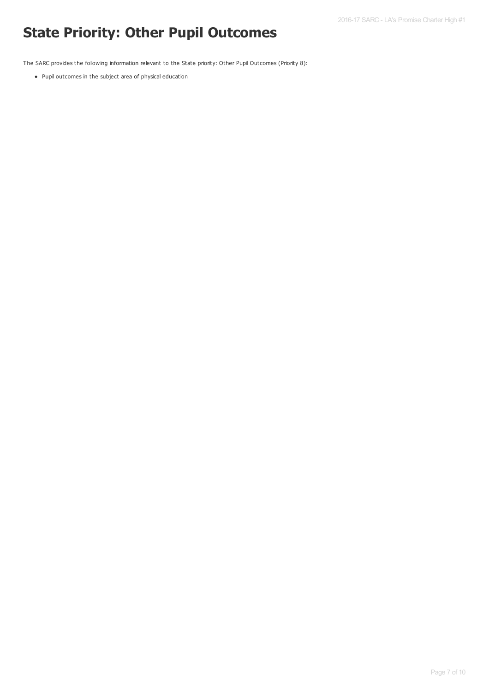# **State Priority: Other Pupil Outcomes**

The SARC provides the following information relevant to the State priority: Other Pupil Outcomes (Priority 8):

Pupil outcomes in the subject area of physical education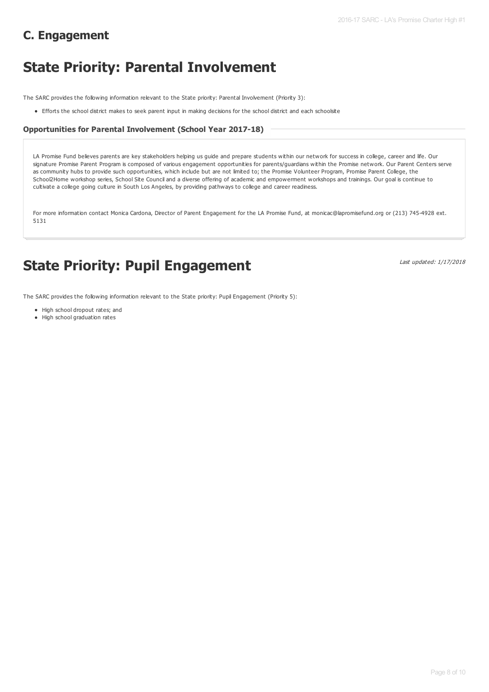## **C. Engagement**

# **State Priority: Parental Involvement**

The SARC provides the following information relevant to the State priority: Parental Involvement (Priority 3):

Efforts the school district makes to seek parent input in making decisions for the school district and each schoolsite

#### **Opportunities for Parental Involvement (School Year 2017-18)**

LA Promise Fund believes parents are key stakeholders helping us guide and prepare students within our network for success in college, career and life. Our signature Promise Parent Program is composed of various engagement opportunities for parents/guardians within the Promise network. Our Parent Centers serve as community hubs to provide such opportunities, which include but are not limited to; the Promise Volunteer Program, Promise Parent College, the School2Home workshop series, School Site Council and a diverse offering of academic and empowerment workshops and trainings. Our goal is continue to cultivate a college going culture in South Los Angeles, by providing pathways to college and career readiness.

For more information contact Monica Cardona, Director of Parent Engagement for the LA Promise Fund, at monicac@lapromisefund.org or (213) 745-4928 ext. 5131

## **State Priority: Pupil Engagement**

Last updated: 1/17/2018

The SARC provides the following information relevant to the State priority: Pupil Engagement (Priority 5):

- High school dropout rates: and
- High school graduation rates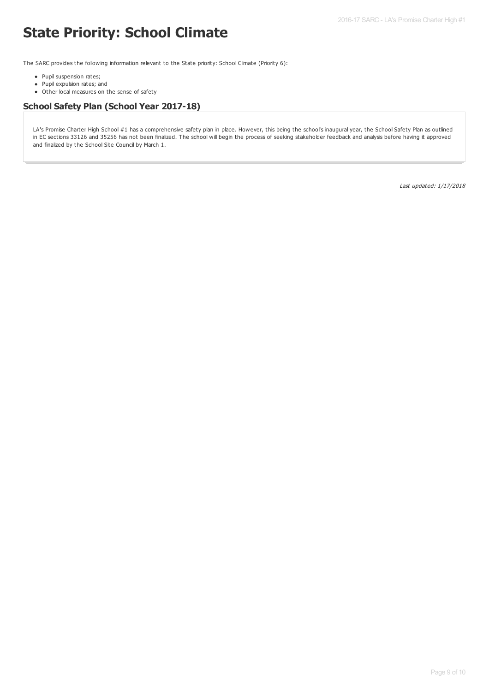# **State Priority: School Climate**

The SARC provides the following information relevant to the State priority: School Climate (Priority 6):

- Pupil suspension rates;
- Pupil expulsion rates; and
- Other local measures on the sense of safety

## **School Safety Plan (School Year 2017-18)**

LA's Promise Charter High School #1 has a comprehensive safety plan in place. However, this being the school's inaugural year, the School Safety Plan as outlined in EC sections 33126 and 35256 has not been finalized. The school will begin the process of seeking stakeholder feedback and analysis before having it approved and finalized by the School Site Council by March 1.

Last updated: 1/17/2018